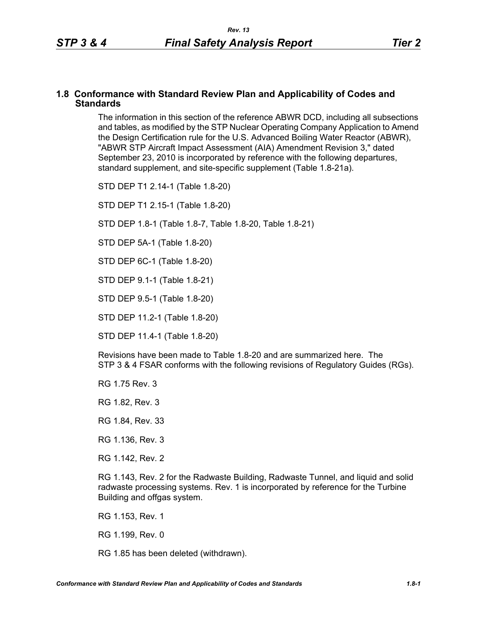#### **1.8 Conformance with Standard Review Plan and Applicability of Codes and Standards**

The information in this section of the reference ABWR DCD, including all subsections and tables, as modified by the STP Nuclear Operating Company Application to Amend the Design Certification rule for the U.S. Advanced Boiling Water Reactor (ABWR), "ABWR STP Aircraft Impact Assessment (AIA) Amendment Revision 3," dated September 23, 2010 is incorporated by reference with the following departures, standard supplement, and site-specific supplement (Table 1.8-21a).

STD DEP T1 2.14-1 (Table 1.8-20)

STD DEP T1 2.15-1 (Table 1.8-20)

STD DEP 1.8-1 (Table 1.8-7, Table [1.8-20,](#page-2-0) Table [1.8-21\)](#page-5-0)

STD DEP 5A-1 (Table 1.8-20)

STD DEP 6C-1 (Table [1.8-20\)](#page-2-0)

STD DEP 9.1-1 (Table 1.8-21)

STD DEP 9.5-1 (Table 1.8-20)

STD DEP 11.2-1 (Table [1.8-20](#page-2-0))

STD DEP 11.4-1 (Table 1.8-20)

Revisions have been made to Table [1.8-20](#page-2-0) and are summarized here. The STP 3 & 4 FSAR conforms with the following revisions of Regulatory Guides (RGs).

RG 1.75 Rev. 3

RG 1.82, Rev. 3

RG 1.84, Rev. 33

RG 1.136, Rev. 3

RG 1.142, Rev. 2

RG 1.143, Rev. 2 for the Radwaste Building, Radwaste Tunnel, and liquid and solid radwaste processing systems. Rev. 1 is incorporated by reference for the Turbine Building and offgas system.

RG 1.153, Rev. 1

RG 1.199, Rev. 0

RG 1.85 has been deleted (withdrawn).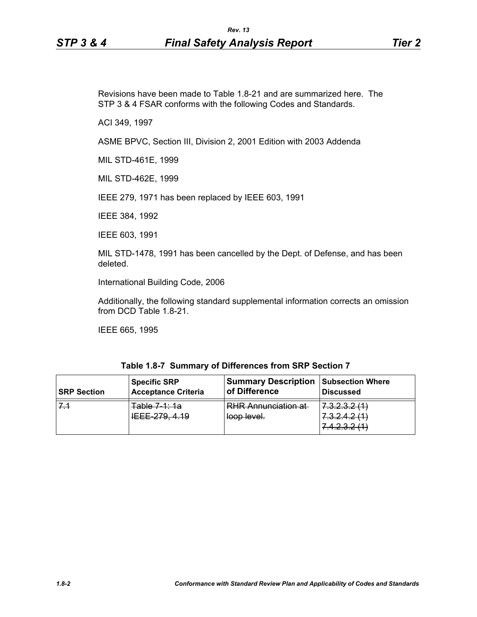Revisions have been made to Table [1.8-21](#page-5-0) and are summarized here. The STP 3 & 4 FSAR conforms with the following Codes and Standards.

ACI 349, 1997

ASME BPVC, Section III, Division 2, 2001 Edition with 2003 Addenda

MIL STD-461E, 1999

MIL STD-462E, 1999

IEEE 279, 1971 has been replaced by IEEE 603, 1991

IEEE 384, 1992

IEEE 603, 1991

MIL STD-1478, 1991 has been cancelled by the Dept. of Defense, and has been deleted.

International Building Code, 2006

Additionally, the following standard supplemental information corrects an omission from DCD Table 1.8-21.

IEEE 665, 1995

| Table 1.8-7 Summary of Differences from SRP Section 7 |
|-------------------------------------------------------|
|-------------------------------------------------------|

| <b>SRP Section</b> | <b>Specific SRP</b>                                               | <b>Summary Description</b>                | <b>Subsection Where</b>                                                                                                                                |
|--------------------|-------------------------------------------------------------------|-------------------------------------------|--------------------------------------------------------------------------------------------------------------------------------------------------------|
|                    | Acceptance Criteria                                               | of Difference                             | l Discussed                                                                                                                                            |
|                    | Table 7.1:12<br><del>iawa maia</del><br><del>1222 210. 7.10</del> | <b>RHR Annunciation at</b><br>loop level. | p p p <i>n l 1</i><br>7.0.2.0.2.1<br>7 2 2 4 2 11 1<br>1.0.2.7.2.11<br>$\Lambda$ $\Omega$ $\Omega$ $\Omega$ $\Lambda$ $\Lambda$<br>7. T. 4. V. 4. 1. T |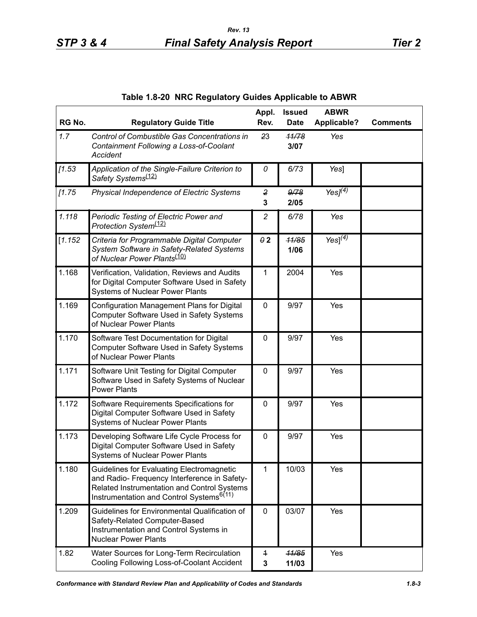<span id="page-2-0"></span>

| RG No.  | <b>Regulatory Guide Title</b>                                                                                                                                                                           | Appl.<br>Rev.       | <b>Issued</b><br><b>Date</b> | <b>ABWR</b><br><b>Applicable?</b> | <b>Comments</b> |
|---------|---------------------------------------------------------------------------------------------------------------------------------------------------------------------------------------------------------|---------------------|------------------------------|-----------------------------------|-----------------|
| 1.7     | Control of Combustible Gas Concentrations in<br>Containment Following a Loss-of-Coolant<br>Accident                                                                                                     | 23                  | 11/78<br>3/07                | Yes                               |                 |
| [1.53]  | Application of the Single-Failure Criterion to<br>Safety Systems <sup>(12)</sup>                                                                                                                        | 0                   | 6/73                         | Yes]                              |                 |
| [1.75]  | Physical Independence of Electric Systems                                                                                                                                                               | $\overline{2}$<br>3 | 9/78<br>2/05                 | Yes $J^{(\overline{4})}$          |                 |
| 1.118   | Periodic Testing of Electric Power and<br>Protection System <sup>(12)</sup>                                                                                                                             | $\overline{c}$      | 6/78                         | Yes                               |                 |
| [1.152] | Criteria for Programmable Digital Computer<br>System Software in Safety-Related Systems<br>of Nuclear Power Plants <sup>(10)</sup>                                                                      | $\theta$ 2          | 11/85<br>1/06                | $Yes]^{(4)}$                      |                 |
| 1.168   | Verification, Validation, Reviews and Audits<br>for Digital Computer Software Used in Safety<br>Systems of Nuclear Power Plants                                                                         | 1                   | 2004                         | Yes                               |                 |
| 1.169   | Configuration Management Plans for Digital<br>Computer Software Used in Safety Systems<br>of Nuclear Power Plants                                                                                       | 0                   | 9/97                         | Yes                               |                 |
| 1.170   | Software Test Documentation for Digital<br>Computer Software Used in Safety Systems<br>of Nuclear Power Plants                                                                                          | 0                   | 9/97                         | Yes                               |                 |
| 1.171   | Software Unit Testing for Digital Computer<br>Software Used in Safety Systems of Nuclear<br><b>Power Plants</b>                                                                                         | 0                   | 9/97                         | Yes                               |                 |
| 1.172   | Software Requirements Specifications for<br>Digital Computer Software Used in Safety<br><b>Systems of Nuclear Power Plants</b>                                                                          | $\pmb{0}$           | 9/97                         | Yes                               |                 |
| 1.173   | Developing Software Life Cycle Process for<br>Digital Computer Software Used in Safety<br><b>Systems of Nuclear Power Plants</b>                                                                        | 0                   | 9/97                         | Yes                               |                 |
| 1.180   | <b>Guidelines for Evaluating Electromagnetic</b><br>and Radio- Frequency Interference in Safety-<br>Related Instrumentation and Control Systems<br>Instrumentation and Control Systems <sup>6(11)</sup> | 1                   | 10/03                        | Yes                               |                 |
| 1.209   | Guidelines for Environmental Qualification of<br>Safety-Related Computer-Based<br>Instrumentation and Control Systems in<br><b>Nuclear Power Plants</b>                                                 | 0                   | 03/07                        | Yes                               |                 |
| 1.82    | Water Sources for Long-Term Recirculation                                                                                                                                                               | $\ddagger$          | 11/85                        | Yes                               |                 |

**3**

**11/03**

### **Table 1.8-20 NRC Regulatory Guides Applicable to ABWR**

Cooling Following Loss-of-Coolant Accident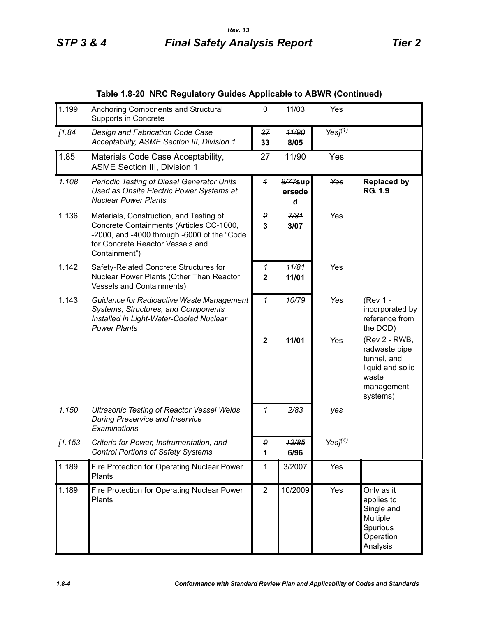| Table 1.8-20 NRC Regulatory Guides Applicable to ABWR (Continued) |  |
|-------------------------------------------------------------------|--|
|                                                                   |  |

| 1.199   | Anchoring Components and Structural<br>Supports in Concrete                                                                                                                             | $\mathbf{0}$                              | 11/03                  | Yes           |                                                                                                      |
|---------|-----------------------------------------------------------------------------------------------------------------------------------------------------------------------------------------|-------------------------------------------|------------------------|---------------|------------------------------------------------------------------------------------------------------|
| [1.84]  | Design and Fabrication Code Case<br>Acceptability, ASME Section III, Division 1                                                                                                         | 27<br>33                                  | 11/90<br>8/05          | Yes $J^{(1)}$ |                                                                                                      |
| 1.85    | Materials Code Case Acceptability,<br><b>ASME Section III, Division 1</b>                                                                                                               | 27                                        | 44/90                  | Yes           |                                                                                                      |
| 1.108   | <b>Periodic Testing of Diesel Generator Units</b><br>Used as Onsite Electric Power Systems at<br><b>Nuclear Power Plants</b>                                                            | $\overline{1}$                            | 8/77sup<br>ersede<br>d | Yes           | <b>Replaced by</b><br><b>RG. 1.9</b>                                                                 |
| 1.136   | Materials, Construction, and Testing of<br>Concrete Containments (Articles CC-1000,<br>-2000, and -4000 through -6000 of the "Code<br>for Concrete Reactor Vessels and<br>Containment") | 2<br>$\overline{3}$                       | 7/81<br>3/07           | Yes           |                                                                                                      |
| 1.142   | Safety-Related Concrete Structures for<br>Nuclear Power Plants (Other Than Reactor<br><b>Vessels and Containments)</b>                                                                  | $\overline{\mathbf{1}}$<br>$\overline{2}$ | 11/81<br>11/01         | Yes           |                                                                                                      |
| 1.143   | Guidance for Radioactive Waste Management<br>Systems, Structures, and Components<br>Installed in Light-Water-Cooled Nuclear<br><b>Power Plants</b>                                      | 1                                         | 10/79                  | Yes           | (Rev 1 -<br>incorporated by<br>reference from<br>the DCD)                                            |
|         |                                                                                                                                                                                         | $\overline{2}$                            | 11/01                  | Yes           | (Rev 2 - RWB,<br>radwaste pipe<br>tunnel, and<br>liquid and solid<br>waste<br>management<br>systems) |
| 1.150   | <b>Ultrasonic Testing of Reactor Vessel Welds</b><br><b>During Preservice and Inservice</b><br>Examinations                                                                             | $\overline{\mathcal{L}}$                  | 2/83                   | yes           |                                                                                                      |
| [1.153] | Criteria for Power, Instrumentation, and<br><b>Control Portions of Safety Systems</b>                                                                                                   | 0                                         | 12/85<br>6/96          | Yes $J(4)$    |                                                                                                      |
| 1.189   | Fire Protection for Operating Nuclear Power<br>Plants                                                                                                                                   | 1                                         | 3/2007                 | Yes           |                                                                                                      |
| 1.189   | Fire Protection for Operating Nuclear Power<br>Plants                                                                                                                                   | $\mathbf{2}$                              | 10/2009                | Yes           | Only as it<br>applies to<br>Single and<br>Multiple<br>Spurious<br>Operation<br>Analysis              |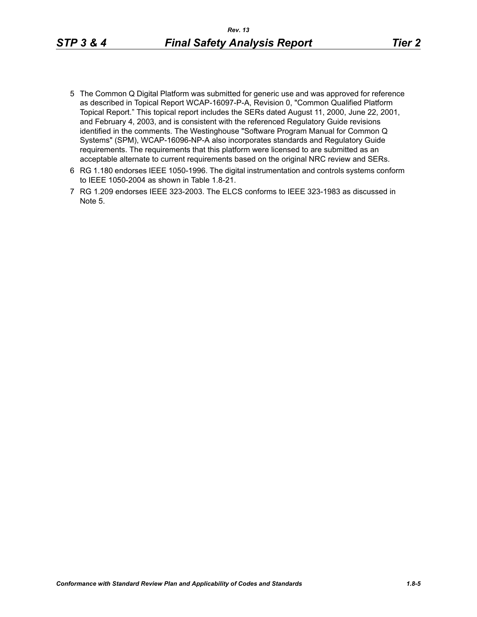- 
- 5 The Common Q Digital Platform was submitted for generic use and was approved for reference as described in Topical Report WCAP-16097-P-A, Revision 0, "Common Qualified Platform Topical Report." This topical report includes the SERs dated August 11, 2000, June 22, 2001, and February 4, 2003, and is consistent with the referenced Regulatory Guide revisions identified in the comments. The Westinghouse "Software Program Manual for Common Q Systems" (SPM), WCAP-16096-NP-A also incorporates standards and Regulatory Guide requirements. The requirements that this platform were licensed to are submitted as an acceptable alternate to current requirements based on the original NRC review and SERs.
- 6 RG 1.180 endorses IEEE 1050-1996. The digital instrumentation and controls systems conform to IEEE 1050-2004 as shown in Table 1.8-21.
- 7 RG 1.209 endorses IEEE 323-2003. The ELCS conforms to IEEE 323-1983 as discussed in Note 5.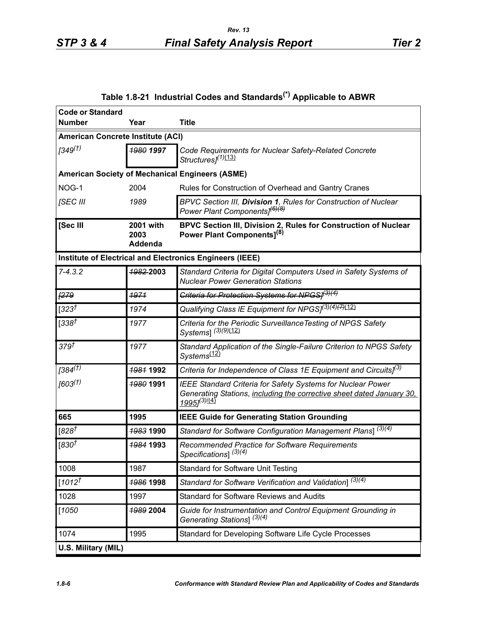<span id="page-5-0"></span>

| <b>Code or Standard</b>                  |                                     |                                                                                                                                                                                |  |  |  |
|------------------------------------------|-------------------------------------|--------------------------------------------------------------------------------------------------------------------------------------------------------------------------------|--|--|--|
| <b>Number</b>                            | Year                                | <b>Title</b>                                                                                                                                                                   |  |  |  |
| <b>American Concrete Institute (ACI)</b> |                                     |                                                                                                                                                                                |  |  |  |
| 1349 <sup>(†)</sup>                      | 1980 1997                           | Code Requirements for Nuclear Safety-Related Concrete<br>Structures <sub>1</sub> <sup>(1)(13)</sup>                                                                            |  |  |  |
|                                          |                                     | <b>American Society of Mechanical Engineers (ASME)</b>                                                                                                                         |  |  |  |
| NOG-1                                    | 2004                                | Rules for Construction of Overhead and Gantry Cranes                                                                                                                           |  |  |  |
| [SEC III                                 | 1989                                | BPVC Section III, Division 1, Rules for Construction of Nuclear<br>Power Plant Components] <sup>(6)(8)</sup>                                                                   |  |  |  |
| [Sec III                                 | <b>2001 with</b><br>2003<br>Addenda | BPVC Section III, Division 2, Rules for Construction of Nuclear<br>Power Plant Components] <sup>(8)</sup>                                                                      |  |  |  |
|                                          |                                     | Institute of Electrical and Electronics Engineers (IEEE)                                                                                                                       |  |  |  |
| $7 - 4.3.2$                              | 1982-2003                           | Standard Criteria for Digital Computers Used in Safety Systems of<br><b>Nuclear Power Generation Stations</b>                                                                  |  |  |  |
| <b>[279</b>                              | 1971                                | Criteria for Protection Systems for NPGS1(3)(4)                                                                                                                                |  |  |  |
| $[323^{\dagger}]$                        | 1974                                | Qualifying Class IE Equipment for NPGSJ <sup>(3)(4)<del>(7)</del>(12)</sup>                                                                                                    |  |  |  |
| [338]                                    | 1977                                | Criteria for the Periodic Surveillance Testing of NPGS Safety<br>Systems] <sup>(3)(9)(12)</sup>                                                                                |  |  |  |
| 379 <sup>†</sup>                         | 1977                                | Standard Application of the Single-Failure Criterion to NPGS Safety<br>Systems <sup>(12)</sup>                                                                                 |  |  |  |
| [384 <sup>(1)</sup> ]                    | <del>1981</del> 1992                | Criteria for Independence of Class 1E Equipment and Circuits] <sup>(3)</sup>                                                                                                   |  |  |  |
| [603 <sup>(†)</sup> ]                    | 1980 1991                           | <b>IEEE Standard Criteria for Safety Systems for Nuclear Power</b><br>Generating Stations, including the corrective sheet dated January 30,<br>1995] <sup>(3)<u>/(4)</u></sup> |  |  |  |
| 665                                      | 1995                                | <b>IEEE Guide for Generating Station Grounding</b>                                                                                                                             |  |  |  |
| [ $828^{\dagger}$                        | 1983 1990                           | Standard for Software Configuration Management Plans] <sup>(3)(4)</sup>                                                                                                        |  |  |  |
| [830 $†$                                 | <b>1984 1993</b>                    | Recommended Practice for Software Requirements<br>Specifications] <sup>(3)(4)</sup>                                                                                            |  |  |  |
| 1008                                     | 1987                                | <b>Standard for Software Unit Testing</b>                                                                                                                                      |  |  |  |
| $[1012^{1}]$                             | <b>1986 1998</b>                    | Standard for Software Verification and Validation] <sup>(3)(4)</sup>                                                                                                           |  |  |  |
| 1028                                     | 1997                                | <b>Standard for Software Reviews and Audits</b>                                                                                                                                |  |  |  |
| $[1050$                                  | 1989 2004                           | Guide for Instrumentation and Control Equipment Grounding in<br>Generating Stations] <sup>(3)(4)</sup>                                                                         |  |  |  |
| 1074                                     | 1995                                | Standard for Developing Software Life Cycle Processes                                                                                                                          |  |  |  |
| U.S. Military (MIL)                      |                                     |                                                                                                                                                                                |  |  |  |

# **Table 1.8-21 Industrial Codes and Standards(\*) Applicable to ABWR**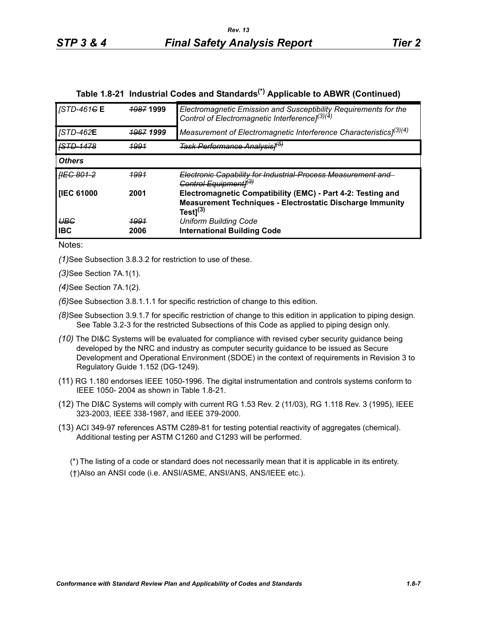|  | Table 1.8-21 Industrial Codes and Standards <sup>(*)</sup> Applicable to ABWR (Continued) |  |  |
|--|-------------------------------------------------------------------------------------------|--|--|
|  |                                                                                           |  |  |

| <b>STD-461GE</b>         | <b>1987 1999</b>     | Electromagnetic Emission and Susceptibility Requirements for the<br>Control of Electromagnetic Interference] <sup>(3)(4)</sup>                    |
|--------------------------|----------------------|---------------------------------------------------------------------------------------------------------------------------------------------------|
| <b>STD-462E</b>          | <del>1967</del> 1999 | Measurement of Electromagnetic Interference Characteristics] <sup>(3)(4)</sup>                                                                    |
|                          | <u> 1991</u>         | <del>Task Performance Analysis1<sup>(b)</sup></del>                                                                                               |
| <b>Others</b>            |                      |                                                                                                                                                   |
| <b>HEG 801-2</b>         | 4994                 | Electronic Capability for Industrial Process Measurement and<br>Control Equipment1 <sup>(3)</sup>                                                 |
| <b>IIEC 61000</b>        | 2001                 | Electromagnetic Compatibility (EMC) - Part 4-2: Testing and<br><b>Measurement Techniques - Electrostatic Discharge Immunity</b><br>Test $1^{(3)}$ |
| <b>UBG</b><br><b>IBC</b> | <u> 1991</u><br>2006 | <b>Uniform Building Code</b><br><b>International Building Code</b>                                                                                |

Notes:

*(1)*See Subsection 3.8.3.2 for restriction to use of these.

*(3)*See Section 7A.1(1).

*(4)*See Section 7A.1(2).

*(6)*See Subsection 3.8.1.1.1 for specific restriction of change to this edition.

- *(8)*See Subsection 3.9.1.7 for specific restriction of change to this edition in application to piping design. See Table 3.2-3 for the restricted Subsections of this Code as applied to piping design only.
- *(10)* The DI&C Systems will be evaluated for compliance with revised cyber security guidance being developed by the NRC and industry as computer security guidance to be issued as Secure Development and Operational Environment (SDOE) in the context of requirements in Revision 3 to Regulatory Guide 1.152 (DG-1249).
- (11) RG 1.180 endorses IEEE 1050-1996. The digital instrumentation and controls systems conform to IEEE 1050- 2004 as shown in Table 1.8-21.
- (12) The DI&C Systems will comply with current RG 1.53 Rev. 2 (11/03), RG 1.118 Rev. 3 (1995), IEEE 323-2003, IEEE 338-1987, and IEEE 379-2000.
- (13) ACI 349-97 references ASTM C289-81 for testing potential reactivity of aggregates (chemical). Additional testing per ASTM C1260 and C1293 will be performed.

(\*) The listing of a code or standard does not necessarily mean that it is applicable in its entirety. (†)Also an ANSI code (i.e. ANSI/ASME, ANSI/ANS, ANS/IEEE etc.).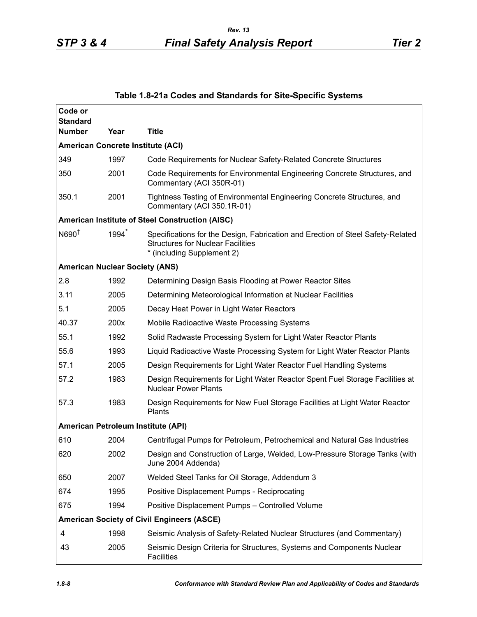| Code or<br><b>Standard</b>               |                   |                                                                                                                                                           |
|------------------------------------------|-------------------|-----------------------------------------------------------------------------------------------------------------------------------------------------------|
| <b>Number</b>                            | Year              | <b>Title</b>                                                                                                                                              |
| <b>American Concrete Institute (ACI)</b> |                   |                                                                                                                                                           |
| 349                                      | 1997              | Code Requirements for Nuclear Safety-Related Concrete Structures                                                                                          |
| 350                                      | 2001              | Code Requirements for Environmental Engineering Concrete Structures, and<br>Commentary (ACI 350R-01)                                                      |
| 350.1                                    | 2001              | Tightness Testing of Environmental Engineering Concrete Structures, and<br>Commentary (ACI 350.1R-01)                                                     |
|                                          |                   | American Institute of Steel Construction (AISC)                                                                                                           |
| N690 <sup>†</sup>                        | 1994 <sup>*</sup> | Specifications for the Design, Fabrication and Erection of Steel Safety-Related<br><b>Structures for Nuclear Facilities</b><br>* (including Supplement 2) |
| <b>American Nuclear Society (ANS)</b>    |                   |                                                                                                                                                           |
| 2.8                                      | 1992              | Determining Design Basis Flooding at Power Reactor Sites                                                                                                  |
| 3.11                                     | 2005              | Determining Meteorological Information at Nuclear Facilities                                                                                              |
| 5.1                                      | 2005              | Decay Heat Power in Light Water Reactors                                                                                                                  |
| 40.37                                    | 200x              | Mobile Radioactive Waste Processing Systems                                                                                                               |
| 55.1                                     | 1992              | Solid Radwaste Processing System for Light Water Reactor Plants                                                                                           |
| 55.6                                     | 1993              | Liquid Radioactive Waste Processing System for Light Water Reactor Plants                                                                                 |
| 57.1                                     | 2005              | Design Requirements for Light Water Reactor Fuel Handling Systems                                                                                         |
| 57.2                                     | 1983              | Design Requirements for Light Water Reactor Spent Fuel Storage Facilities at<br><b>Nuclear Power Plants</b>                                               |
| 57.3                                     | 1983              | Design Requirements for New Fuel Storage Facilities at Light Water Reactor<br>Plants                                                                      |
| American Petroleum Institute (API)       |                   |                                                                                                                                                           |
| 610                                      | 2004              | Centrifugal Pumps for Petroleum, Petrochemical and Natural Gas Industries                                                                                 |
| 620                                      | 2002              | Design and Construction of Large, Welded, Low-Pressure Storage Tanks (with<br>June 2004 Addenda)                                                          |
| 650                                      | 2007              | Welded Steel Tanks for Oil Storage, Addendum 3                                                                                                            |
| 674                                      | 1995              | Positive Displacement Pumps - Reciprocating                                                                                                               |
| 675                                      | 1994              | Positive Displacement Pumps - Controlled Volume                                                                                                           |
|                                          |                   | <b>American Society of Civil Engineers (ASCE)</b>                                                                                                         |
| 4                                        | 1998              | Seismic Analysis of Safety-Related Nuclear Structures (and Commentary)                                                                                    |
| 43                                       | 2005              | Seismic Design Criteria for Structures, Systems and Components Nuclear<br><b>Facilities</b>                                                               |

## **Table 1.8-21a Codes and Standards for Site-Specific Systems**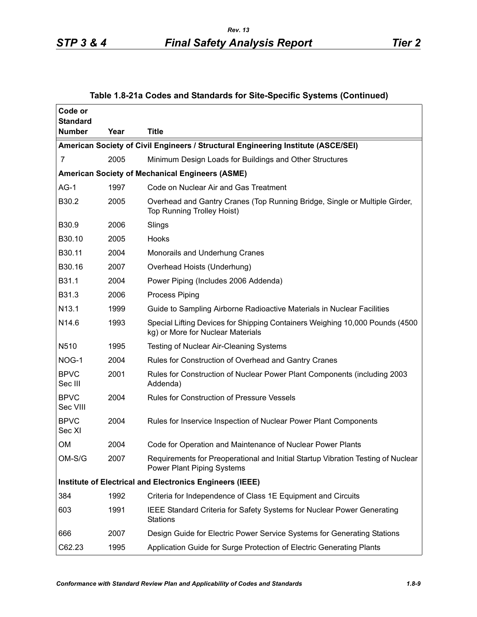## **Table 1.8-21a Codes and Standards for Site-Specific Systems (Continued)**

| Code or<br><b>Standard</b> |      |                                                                                                                       |
|----------------------------|------|-----------------------------------------------------------------------------------------------------------------------|
| <b>Number</b>              | Year | <b>Title</b>                                                                                                          |
|                            |      | American Society of Civil Engineers / Structural Engineering Institute (ASCE/SEI)                                     |
| 7                          | 2005 | Minimum Design Loads for Buildings and Other Structures                                                               |
|                            |      | American Society of Mechanical Engineers (ASME)                                                                       |
| $AG-1$                     | 1997 | Code on Nuclear Air and Gas Treatment                                                                                 |
| B30.2                      | 2005 | Overhead and Gantry Cranes (Top Running Bridge, Single or Multiple Girder,<br><b>Top Running Trolley Hoist)</b>       |
| B30.9                      | 2006 | Slings                                                                                                                |
| B30.10                     | 2005 | Hooks                                                                                                                 |
| B30.11                     | 2004 | Monorails and Underhung Cranes                                                                                        |
| B30.16                     | 2007 | Overhead Hoists (Underhung)                                                                                           |
| B31.1                      | 2004 | Power Piping (Includes 2006 Addenda)                                                                                  |
| B31.3                      | 2006 | <b>Process Piping</b>                                                                                                 |
| N13.1                      | 1999 | Guide to Sampling Airborne Radioactive Materials in Nuclear Facilities                                                |
| N <sub>14.6</sub>          | 1993 | Special Lifting Devices for Shipping Containers Weighing 10,000 Pounds (4500<br>kg) or More for Nuclear Materials     |
| N510                       | 1995 | <b>Testing of Nuclear Air-Cleaning Systems</b>                                                                        |
| NOG-1                      | 2004 | Rules for Construction of Overhead and Gantry Cranes                                                                  |
| <b>BPVC</b><br>Sec III     | 2001 | Rules for Construction of Nuclear Power Plant Components (including 2003<br>Addenda)                                  |
| <b>BPVC</b><br>Sec VIII    | 2004 | <b>Rules for Construction of Pressure Vessels</b>                                                                     |
| <b>BPVC</b><br>Sec XI      | 2004 | Rules for Inservice Inspection of Nuclear Power Plant Components                                                      |
| ΟM                         | 2004 | Code for Operation and Maintenance of Nuclear Power Plants                                                            |
| OM-S/G                     | 2007 | Requirements for Preoperational and Initial Startup Vibration Testing of Nuclear<br><b>Power Plant Piping Systems</b> |
|                            |      | Institute of Electrical and Electronics Engineers (IEEE)                                                              |
| 384                        | 1992 | Criteria for Independence of Class 1E Equipment and Circuits                                                          |
| 603                        | 1991 | IEEE Standard Criteria for Safety Systems for Nuclear Power Generating<br><b>Stations</b>                             |
| 666                        | 2007 | Design Guide for Electric Power Service Systems for Generating Stations                                               |
| C62.23                     | 1995 | Application Guide for Surge Protection of Electric Generating Plants                                                  |